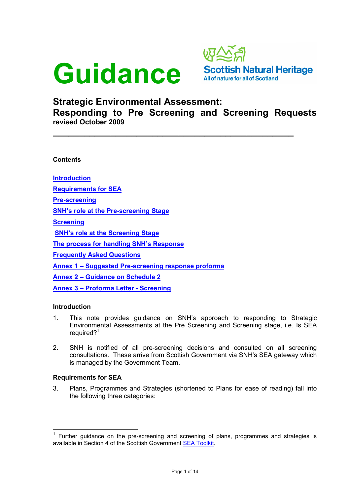



# Strategic Environmental Assessment: Responding to Pre Screening and Screening Requests

 $\overline{\phantom{a}}$  , and the contract of the contract of the contract of the contract of the contract of the contract of the contract of the contract of the contract of the contract of the contract of the contract of the contrac

revised October 2009

**Contents** 

Introduction

Requirements for SEA

Pre-screening

SNH's role at the Pre-screening Stage

**Screening** 

SNH's role at the Screening Stage

The process for handling SNH's Response

Frequently Asked Questions

Annex 1 – Suggested Pre-screening response proforma

Annex 2 – Guidance on Schedule 2

Annex 3 – Proforma Letter - Screening

# Introduction

 $\overline{a}$ 

- 1. This note provides guidance on SNH's approach to responding to Strategic Environmental Assessments at the Pre Screening and Screening stage, i.e. Is SEA required?<sup>1</sup>
- 2. SNH is notified of all pre-screening decisions and consulted on all screening consultations. These arrive from Scottish Government via SNH's SEA gateway which is managed by the Government Team.

### Requirements for SEA

3. Plans, Programmes and Strategies (shortened to Plans for ease of reading) fall into the following three categories:

<sup>1</sup> Further guidance on the pre-screening and screening of plans, programmes and strategies is available in Section 4 of the Scottish Government SEA Toolkit.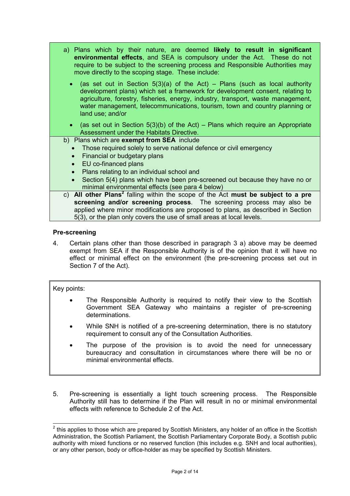- a) Plans which by their nature, are deemed likely to result in significant environmental effects, and SEA is compulsory under the Act. These do not require to be subject to the screening process and Responsible Authorities may move directly to the scoping stage. These include:
	- (as set out in Section  $5(3)(a)$  of the Act) Plans (such as local authority development plans) which set a framework for development consent, relating to agriculture, forestry, fisheries, energy, industry, transport, waste management, water management, telecommunications, tourism, town and country planning or land use; and/or
	- (as set out in Section  $5(3)(b)$  of the Act) Plans which require an Appropriate Assessment under the Habitats Directive.

# b) Plans which are **exempt from SEA** include

- Those required solely to serve national defence or civil emergency
- Financial or budgetary plans
- EU co-financed plans
- Plans relating to an individual school and
- Section 5(4) plans which have been pre-screened out because they have no or minimal environmental effects (see para 4 below)
- c) All other Plans<sup>2</sup> falling within the scope of the Act must be subject to a pre screening and/or screening process. The screening process may also be applied where minor modifications are proposed to plans, as described in Section 5(3), or the plan only covers the use of small areas at local levels.

# Pre-screening

4. Certain plans other than those described in paragraph 3 a) above may be deemed exempt from SEA if the Responsible Authority is of the opinion that it will have no effect or minimal effect on the environment (the pre-screening process set out in Section 7 of the Act).

# Key points:

- The Responsible Authority is required to notify their view to the Scottish Government SEA Gateway who maintains a register of pre-screening determinations.
- While SNH is notified of a pre-screening determination, there is no statutory requirement to consult any of the Consultation Authorities.
- The purpose of the provision is to avoid the need for unnecessary bureaucracy and consultation in circumstances where there will be no or minimal environmental effects.
- 5. Pre-screening is essentially a light touch screening process. The Responsible Authority still has to determine if the Plan will result in no or minimal environmental effects with reference to Schedule 2 of the Act.

 $\overline{a}$  $2$  this applies to those which are prepared by Scottish Ministers, any holder of an office in the Scottish Administration, the Scottish Parliament, the Scottish Parliamentary Corporate Body, a Scottish public authority with mixed functions or no reserved function (this includes e.g. SNH and local authorities), or any other person, body or office-holder as may be specified by Scottish Ministers.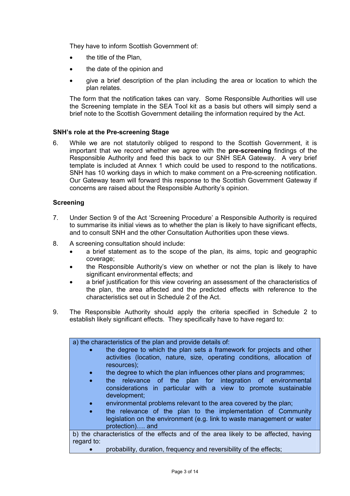They have to inform Scottish Government of:

- the title of the Plan.
- the date of the opinion and
- give a brief description of the plan including the area or location to which the plan relates.

The form that the notification takes can vary. Some Responsible Authorities will use the Screening template in the SEA Tool kit as a basis but others will simply send a brief note to the Scottish Government detailing the information required by the Act.

# SNH's role at the Pre-screening Stage

6. While we are not statutorily obliged to respond to the Scottish Government, it is important that we record whether we agree with the pre-screening findings of the Responsible Authority and feed this back to our SNH SEA Gateway. A very brief template is included at Annex 1 which could be used to respond to the notifications. SNH has 10 working days in which to make comment on a Pre-screening notification. Our Gateway team will forward this response to the Scottish Government Gateway if concerns are raised about the Responsible Authority's opinion.

### **Screening**

- 7. Under Section 9 of the Act 'Screening Procedure' a Responsible Authority is required to summarise its initial views as to whether the plan is likely to have significant effects, and to consult SNH and the other Consultation Authorities upon these views.
- 8. A screening consultation should include:
	- a brief statement as to the scope of the plan, its aims, topic and geographic coverage;
	- the Responsible Authority's view on whether or not the plan is likely to have significant environmental effects; and
	- a brief justification for this view covering an assessment of the characteristics of the plan, the area affected and the predicted effects with reference to the characteristics set out in Schedule 2 of the Act.
- 9. The Responsible Authority should apply the criteria specified in Schedule 2 to establish likely significant effects. They specifically have to have regard to:

| a) the characteristics of the plan and provide details of:                                                                                                                  |
|-----------------------------------------------------------------------------------------------------------------------------------------------------------------------------|
| the degree to which the plan sets a framework for projects and other<br>$\bullet$<br>activities (location, nature, size, operating conditions, allocation of<br>resources); |
| the degree to which the plan influences other plans and programmes;<br>$\bullet$                                                                                            |
| the relevance of the plan for integration of environmental<br>$\bullet$<br>considerations in particular with a view to promote sustainable<br>development;                  |
| environmental problems relevant to the area covered by the plan;<br>$\bullet$                                                                                               |
| the relevance of the plan to the implementation of Community<br>$\bullet$<br>legislation on the environment (e.g. link to waste management or water<br>protection) and      |
| b) the characteristics of the effects and of the area likely to be affected, having<br>regard to:                                                                           |

• probability, duration, frequency and reversibility of the effects;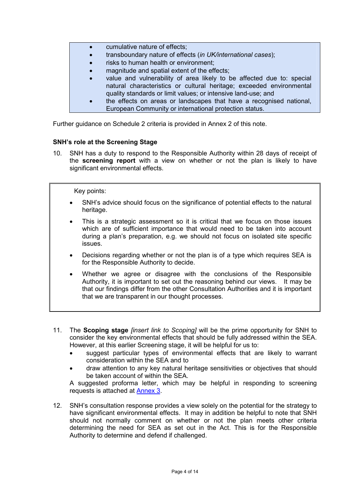- cumulative nature of effects;
- transboundary nature of effects (in UK/international cases);
- risks to human health or environment:
- magnitude and spatial extent of the effects;
- value and vulnerability of area likely to be affected due to: special natural characteristics or cultural heritage; exceeded environmental quality standards or limit values; or intensive land-use; and
- the effects on areas or landscapes that have a recognised national, European Community or international protection status.

Further guidance on Schedule 2 criteria is provided in Annex 2 of this note.

# SNH's role at the Screening Stage

10. SNH has a duty to respond to the Responsible Authority within 28 days of receipt of the screening report with a view on whether or not the plan is likely to have significant environmental effects.

### Key points:

- SNH's advice should focus on the significance of potential effects to the natural heritage.
- This is a strategic assessment so it is critical that we focus on those issues which are of sufficient importance that would need to be taken into account during a plan's preparation, e.g. we should not focus on isolated site specific issues.
- Decisions regarding whether or not the plan is of a type which requires SEA is for the Responsible Authority to decide.
- Whether we agree or disagree with the conclusions of the Responsible Authority, it is important to set out the reasoning behind our views. It may be that our findings differ from the other Consultation Authorities and it is important that we are transparent in our thought processes.
- 11. The **Scoping stage** *finsert link to Scoping* will be the prime opportunity for SNH to consider the key environmental effects that should be fully addressed within the SEA. However, at this earlier Screening stage, it will be helpful for us to:
	- suggest particular types of environmental effects that are likely to warrant consideration within the SEA and to
	- draw attention to any key natural heritage sensitivities or objectives that should be taken account of within the SEA.

A suggested proforma letter, which may be helpful in responding to screening requests is attached at Annex 3.

12. SNH's consultation response provides a view solely on the potential for the strategy to have significant environmental effects. It may in addition be helpful to note that SNH should not normally comment on whether or not the plan meets other criteria determining the need for SEA as set out in the Act. This is for the Responsible Authority to determine and defend if challenged.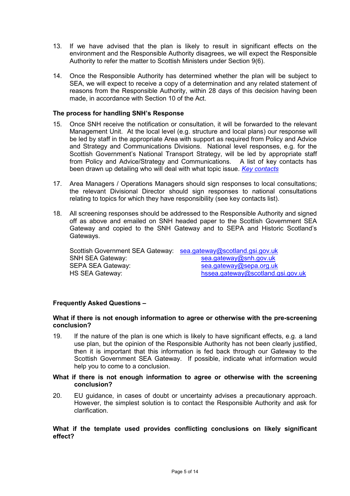- 13. If we have advised that the plan is likely to result in significant effects on the environment and the Responsible Authority disagrees, we will expect the Responsible Authority to refer the matter to Scottish Ministers under Section 9(6).
- 14. Once the Responsible Authority has determined whether the plan will be subject to SEA, we will expect to receive a copy of a determination and any related statement of reasons from the Responsible Authority, within 28 days of this decision having been made, in accordance with Section 10 of the Act.

### The process for handling SNH's Response

- 15. Once SNH receive the notification or consultation, it will be forwarded to the relevant Management Unit. At the local level (e.g. structure and local plans) our response will be led by staff in the appropriate Area with support as required from Policy and Advice and Strategy and Communications Divisions. National level responses, e.g. for the Scottish Government's National Transport Strategy, will be led by appropriate staff from Policy and Advice/Strategy and Communications. A list of key contacts has been drawn up detailing who will deal with what topic issue. Key contacts
- 17. Area Managers / Operations Managers should sign responses to local consultations; the relevant Divisional Director should sign responses to national consultations relating to topics for which they have responsibility (see key contacts list).
- 18. All screening responses should be addressed to the Responsible Authority and signed off as above and emailed on SNH headed paper to the Scottish Government SEA Gateway and copied to the SNH Gateway and to SEPA and Historic Scotland's Gateways.

Scottish Government SEA Gateway: sea.gateway@scotland.gsi.gov.uk<br>SNH SEA Gateway: sea.gateway@snh.gov.uk sea.gateway@snh.gov.uk SEPA SEA Gateway: sea.gateway@sepa.org.uk HS SEA Gateway: https://www.bissea.gateway@scotland.gsi.gov.uk

# Frequently Asked Questions –

### What if there is not enough information to agree or otherwise with the pre-screening conclusion?

19. If the nature of the plan is one which is likely to have significant effects, e.g. a land use plan, but the opinion of the Responsible Authority has not been clearly justified, then it is important that this information is fed back through our Gateway to the Scottish Government SEA Gateway. If possible, indicate what information would help you to come to a conclusion.

### What if there is not enough information to agree or otherwise with the screening conclusion?

20. EU guidance, in cases of doubt or uncertainty advises a precautionary approach. However, the simplest solution is to contact the Responsible Authority and ask for clarification.

### What if the template used provides conflicting conclusions on likely significant effect?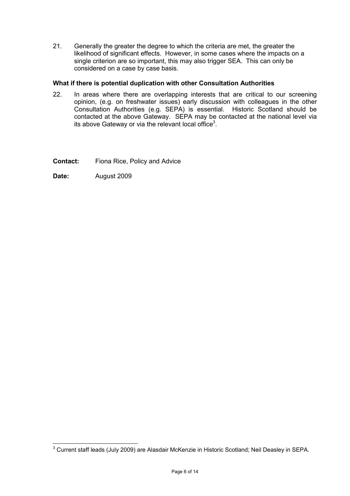21. Generally the greater the degree to which the criteria are met, the greater the likelihood of significant effects. However, in some cases where the impacts on a single criterion are so important, this may also trigger SEA. This can only be considered on a case by case basis.

# What if there is potential duplication with other Consultation Authorities

- 22. In areas where there are overlapping interests that are critical to our screening opinion, (e.g. on freshwater issues) early discussion with colleagues in the other Consultation Authorities (e.g. SEPA) is essential. Historic Scotland should be contacted at the above Gateway. SEPA may be contacted at the national level via its above Gateway or via the relevant local office<sup>3</sup>.
- Contact: Fiona Rice, Policy and Advice
- Date: August 2009

 3 Current staff leads (July 2009) are Alasdair McKenzie in Historic Scotland; Neil Deasley in SEPA.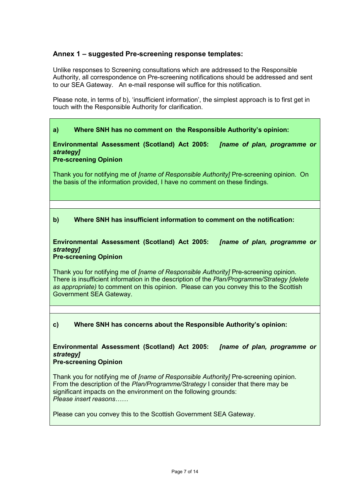# Annex 1 – suggested Pre-screening response templates:

Unlike responses to Screening consultations which are addressed to the Responsible Authority, all correspondence on Pre-screening notifications should be addressed and sent to our SEA Gateway. An e-mail response will suffice for this notification.

Please note, in terms of b), 'insufficient information', the simplest approach is to first get in touch with the Responsible Authority for clarification.

# a) Where SNH has no comment on the Responsible Authority's opinion:

Environmental Assessment (Scotland) Act 2005: [name of plan, programme or strategy]

# Pre-screening Opinion

Thank you for notifying me of *[name of Responsible Authority]* Pre-screening opinion. On the basis of the information provided, I have no comment on these findings.

# b) Where SNH has insufficient information to comment on the notification:

### Environmental Assessment (Scotland) Act 2005: [name of plan, programme or strategy<sub>1</sub> Pre-screening Opinion

Thank you for notifying me of *[name of Responsible Authority]* Pre-screening opinion. There is insufficient information in the description of the Plan/Programme/Strategy [delete as appropriate) to comment on this opinion. Please can you convey this to the Scottish Government SEA Gateway.

# c) Where SNH has concerns about the Responsible Authority's opinion:

# Environmental Assessment (Scotland) Act 2005: [name of plan, programme or strategy]

# Pre-screening Opinion

Thank you for notifying me of *[name of Responsible Authority]* Pre-screening opinion. From the description of the Plan/Programme/Strategy I consider that there may be significant impacts on the environment on the following grounds: Please insert reasons……

Please can you convey this to the Scottish Government SEA Gateway.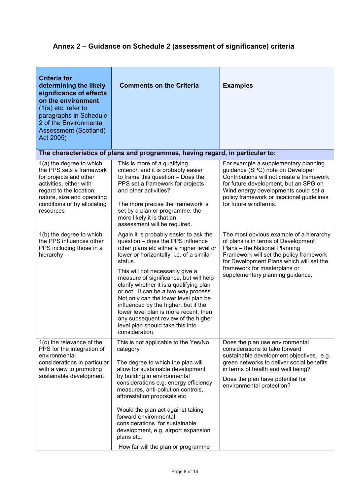# Annex 2 – Guidance on Schedule 2 (assessment of significance) criteria

| <b>Criteria for</b><br>determining the likely<br>significance of effects<br>on the environment<br>$(1(a)$ etc. refer to<br>paragraphs in Schedule<br>2 of the Environmental<br>Assessment (Scotland)<br>Act 2005) | <b>Comments on the Criteria</b>                                                                                                                                                                                                                                                                                                                                                                                                                                                                                                                                       | <b>Examples</b>                                                                                                                                                                                                                                                              |
|-------------------------------------------------------------------------------------------------------------------------------------------------------------------------------------------------------------------|-----------------------------------------------------------------------------------------------------------------------------------------------------------------------------------------------------------------------------------------------------------------------------------------------------------------------------------------------------------------------------------------------------------------------------------------------------------------------------------------------------------------------------------------------------------------------|------------------------------------------------------------------------------------------------------------------------------------------------------------------------------------------------------------------------------------------------------------------------------|
|                                                                                                                                                                                                                   | The characteristics of plans and programmes, having regard, in particular to:                                                                                                                                                                                                                                                                                                                                                                                                                                                                                         |                                                                                                                                                                                                                                                                              |
| 1(a) the degree to which<br>the PPS sets a framework<br>for projects and other<br>activities, either with<br>regard to the location,<br>nature, size and operating<br>conditions or by allocating<br>resources    | This is more of a qualifying<br>criterion and it is probably easier<br>to frame this question - Does the<br>PPS set a framework for projects<br>and other activities?<br>The more precise the framework is<br>set by a plan or programme, the<br>more likely it is that an<br>assessment will be required.                                                                                                                                                                                                                                                            | For example a supplementary planning<br>guidance (SPG) note on Developer<br>Contributions will not create a framework<br>for future development, but an SPG on<br>Wind energy developments could set a<br>policy framework or locational guidelines<br>for future windfarms. |
| 1(b) the degree to which<br>the PPS influences other<br>PPS including those in a<br>hierarchy                                                                                                                     | Again it is probably easier to ask the<br>question - does the PPS influence<br>other plans etc either a higher level or<br>lower or horizontally, i.e. of a similar<br>status.<br>This will not necessarily give a<br>measure of significance, but will help<br>clarify whether it is a qualifying plan<br>or not. It can be a two way process.<br>Not only can the lower level plan be<br>influenced by the higher, but if the<br>lower level plan is more recent, then<br>any subsequent review of the higher<br>level plan should take this into<br>consideration. | The most obvious example of a hierarchy<br>of plans is in terms of Development<br>Plans - the National Planning<br>Framework will set the policy framework<br>for Development Plans which will set the<br>framework for masterplans or<br>supplementary planning guidance,   |
| 1(c) the relevance of the<br>PPS for the integration of<br>environmental<br>considerations in particular<br>with a view to promoting<br>sustainable development                                                   | This is not applicable to the Yes/No<br>category.<br>The degree to which the plan will<br>allow for sustainable development<br>by building in environmental<br>considerations e.g. energy efficiency<br>measures, anti-pollution controls,<br>afforestation proposals etc<br>Would the plan act against taking<br>forward environmental<br>considerations for sustainable<br>development, e.g. airport expansion<br>plans etc.<br>How far will the plan or programme                                                                                                  | Does the plan use environmental<br>considerations to take forward<br>sustainable development objectives. e.g.<br>green networks to deliver social benefits<br>in terms of health and well being?<br>Does the plan have potential for<br>environmental protection?            |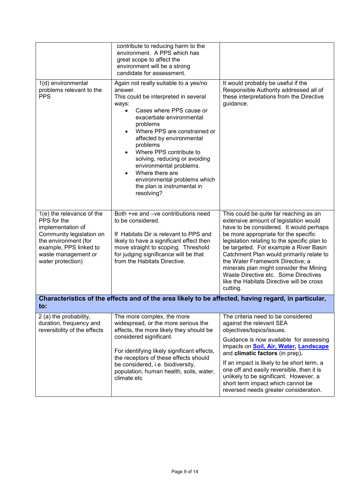|                                                                                                                                                                                         | contribute to reducing harm to the<br>environment. A PPS which has<br>great scope to affect the<br>environment will be a strong<br>candidate for assessment.                                                                                                                                                                                                                                                                                       |                                                                                                                                                                                                                                                                                                                                                                                                                                                                                          |  |  |
|-----------------------------------------------------------------------------------------------------------------------------------------------------------------------------------------|----------------------------------------------------------------------------------------------------------------------------------------------------------------------------------------------------------------------------------------------------------------------------------------------------------------------------------------------------------------------------------------------------------------------------------------------------|------------------------------------------------------------------------------------------------------------------------------------------------------------------------------------------------------------------------------------------------------------------------------------------------------------------------------------------------------------------------------------------------------------------------------------------------------------------------------------------|--|--|
| 1(d) environmental<br>problems relevant to the<br><b>PPS</b>                                                                                                                            | Again not really suitable to a yes/no<br>answer.<br>This could be interpreted in several<br>ways:<br>Cases where PPS cause or<br>$\bullet$<br>exacerbate environmental<br>problems<br>Where PPS are constrained or<br>affected by environmental<br>problems<br>Where PPS contribute to<br>solving, reducing or avoiding<br>environmental problems.<br>Where there are<br>environmental problems which<br>the plan is instrumental in<br>resolving? | It would probably be useful if the<br>Responsible Authority addressed all of<br>these interpretations from the Directive<br>guidance.                                                                                                                                                                                                                                                                                                                                                    |  |  |
| 1(e) the relevance of the<br>PPS for the<br>implementation of<br>Community legislation on<br>the environment (for<br>example, PPS linked to<br>waste management or<br>water protection) | Both +ve and -ve contributions need<br>to be considered.<br>If Habitats Dir is relevant to PPS and<br>likely to have a significant effect then<br>move straight to scoping. Threshold<br>for judging significance will be that<br>from the Habitats Directive.                                                                                                                                                                                     | This could be quite far reaching as an<br>extensive amount of legislation would<br>have to be considered. It would perhaps<br>be more appropriate for the specific<br>legislation relating to the specific plan to<br>be targeted. For example a River Basin<br>Catchment Plan would primarily relate to<br>the Water Framework Directive; a<br>minerals plan might consider the Mining<br>Waste Directive etc. Some Directives<br>like the Habitats Directive will be cross<br>cutting. |  |  |
| Characteristics of the effects and of the area likely to be affected, having regard, in particular,<br>to:                                                                              |                                                                                                                                                                                                                                                                                                                                                                                                                                                    |                                                                                                                                                                                                                                                                                                                                                                                                                                                                                          |  |  |
| 2 (a) the probability,<br>duration, frequency and<br>reversibility of the effects                                                                                                       | The more complex, the more<br>widespread, or the more serious the<br>effects, the more likely they should be<br>considered significant.<br>For identifying likely significant effects,<br>the receptors of these effects should<br>be considered, i.e. biodiversity,<br>population, human health, soils, water,<br>climate etc                                                                                                                     | The criteria need to be considered<br>against the relevant SEA<br>objectives/topics/issues.                                                                                                                                                                                                                                                                                                                                                                                              |  |  |
|                                                                                                                                                                                         |                                                                                                                                                                                                                                                                                                                                                                                                                                                    | Guidance is now available for assessing<br>impacts on <b>Soil, Air, Water, Landscape</b><br>and climatic factors (in prep).                                                                                                                                                                                                                                                                                                                                                              |  |  |
|                                                                                                                                                                                         |                                                                                                                                                                                                                                                                                                                                                                                                                                                    | If an impact is likely to be short term, a<br>one off and easily reversible, then it is<br>unlikely to be significant. However, a<br>short term impact which cannot be<br>reversed needs greater consideration.                                                                                                                                                                                                                                                                          |  |  |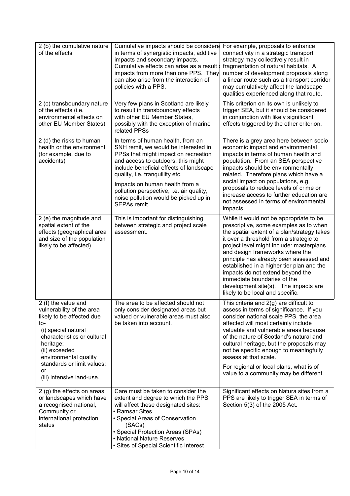| 2 (b) the cumulative nature<br>of the effects                                                                                                                                                                                                                      | Cumulative impacts should be considere<br>in terms of synergistic impacts, additive<br>impacts and secondary impacts.<br>Cumulative effects can arise as a result<br>impacts from more than one PPS. They<br>can also arise from the interaction of<br>policies with a PPS.                                                                                                  | For example, proposals to enhance<br>connectivity in a strategic transport<br>strategy may collectively result in<br>fragmentation of natural habitats. A<br>number of development proposals along<br>a linear route such as a transport corridor<br>may cumulatively affect the landscape<br>qualities experienced along that route.                                                                                                                                                             |
|--------------------------------------------------------------------------------------------------------------------------------------------------------------------------------------------------------------------------------------------------------------------|------------------------------------------------------------------------------------------------------------------------------------------------------------------------------------------------------------------------------------------------------------------------------------------------------------------------------------------------------------------------------|---------------------------------------------------------------------------------------------------------------------------------------------------------------------------------------------------------------------------------------------------------------------------------------------------------------------------------------------------------------------------------------------------------------------------------------------------------------------------------------------------|
| 2 (c) transboundary nature<br>of the effects (i.e.<br>environmental effects on<br>other EU Member States)                                                                                                                                                          | Very few plans in Scotland are likely<br>to result in transboundary effects<br>with other EU Member States,<br>possibly with the exception of marine<br>related PPSs                                                                                                                                                                                                         | This criterion on its own is unlikely to<br>trigger SEA, but it should be considered<br>in conjunction with likely significant<br>effects triggered by the other criterion.                                                                                                                                                                                                                                                                                                                       |
| 2 (d) the risks to human<br>health or the environment<br>(for example, due to<br>accidents)                                                                                                                                                                        | In terms of human health, from an<br>SNH remit, we would be interested in<br>PPSs that might impact on recreation<br>and access to outdoors, this might<br>include beneficial effects of landscape<br>quality, i.e. tranquillity etc.<br>Impacts on human health from a<br>pollution perspective, i.e. air quality,<br>noise pollution would be picked up in<br>SEPAs remit. | There is a grey area here between socio<br>economic impact and environmental<br>impacts in terms of human health and<br>population. From an SEA perspective<br>impacts should be environmentally<br>related. Therefore plans which have a<br>social impact on populations, e.g.<br>proposals to reduce levels of crime or<br>increase access to further education are<br>not assessed in terms of environmental<br>impacts.                                                                       |
| 2 (e) the magnitude and<br>spatial extent of the<br>effects (geographical area<br>and size of the population<br>likely to be affected)                                                                                                                             | This is important for distinguishing<br>between strategic and project scale<br>assessment.                                                                                                                                                                                                                                                                                   | While it would not be appropriate to be<br>prescriptive, some examples as to when<br>the spatial extent of a plan/strategy takes<br>it over a threshold from a strategic to<br>project level might include: masterplans<br>and design frameworks where the<br>principle has already been assessed and<br>established in a higher tier plan and the<br>impacts do not extend beyond the<br>immediate boundaries of the<br>development site(s). The impacts are<br>likely to be local and specific. |
| 2 (f) the value and<br>vulnerability of the area<br>likely to be affected due<br>to-<br>(i) special natural<br>characteristics or cultural<br>heritage;<br>(ii) exceeded<br>environmental quality<br>standards or limit values;<br>or<br>(iii) intensive land-use. | The area to be affected should not<br>only consider designated areas but<br>valued or vulnerable areas must also<br>be taken into account.                                                                                                                                                                                                                                   | This criteria and 2(g) are difficult to<br>assess in terms of significance. If you<br>consider national scale PPS, the area<br>affected will most certainly include<br>valuable and vulnerable areas because<br>of the nature of Scotland's natural and<br>cultural heritage, but the proposals may<br>not be specific enough to meaningfully<br>assess at that scale.<br>For regional or local plans, what is of<br>value to a community may be different                                        |
| 2 (g) the effects on areas<br>or landscapes which have<br>a recognised national,<br>Community or<br>international protection<br>status                                                                                                                             | Care must be taken to consider the<br>extent and degree to which the PPS<br>will affect these designated sites:<br>• Ramsar Sites<br>• Special Areas of Conservation<br>(SACs)<br>• Special Protection Areas (SPAs)<br>• National Nature Reserves<br>• Sites of Special Scientific Interest                                                                                  | Significant effects on Natura sites from a<br>PPS are likely to trigger SEA in terms of<br>Section 5(3) of the 2005 Act.                                                                                                                                                                                                                                                                                                                                                                          |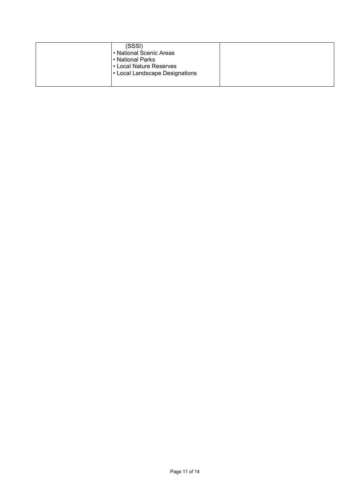| (SSSI)<br>• National Scenic Areas<br>• National Parks<br>• Local Nature Reserves<br>• Local Landscape Designations |  |
|--------------------------------------------------------------------------------------------------------------------|--|
|--------------------------------------------------------------------------------------------------------------------|--|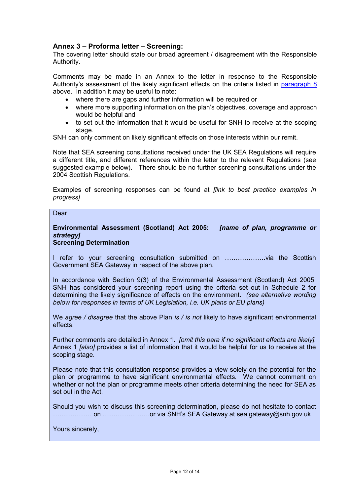# Annex 3 – Proforma letter – Screening:

The covering letter should state our broad agreement / disagreement with the Responsible Authority.

Comments may be made in an Annex to the letter in response to the Responsible Authority's assessment of the likely significant effects on the criteria listed in paragraph 8 above. In addition it may be useful to note:

- where there are gaps and further information will be required or
- where more supporting information on the plan's objectives, coverage and approach would be helpful and
- to set out the information that it would be useful for SNH to receive at the scoping stage.

SNH can only comment on likely significant effects on those interests within our remit.

Note that SEA screening consultations received under the UK SEA Regulations will require a different title, and different references within the letter to the relevant Regulations (see suggested example below). There should be no further screening consultations under the 2004 Scottish Regulations.

Examples of screening responses can be found at *[link to best practice examples in* progress]

#### **Dear**

#### Environmental Assessment (Scotland) Act 2005: [name of plan, programme or strategy] Screening Determination

I refer to your screening consultation submitted on ……………….via the Scottish Government SEA Gateway in respect of the above plan.

In accordance with Section 9(3) of the Environmental Assessment (Scotland) Act 2005, SNH has considered your screening report using the criteria set out in Schedule 2 for determining the likely significance of effects on the environment. (see alternative wording below for responses in terms of UK Legislation, i.e. UK plans or EU plans)

We agree / disagree that the above Plan is / is not likely to have significant environmental effects.

Further comments are detailed in Annex 1. [omit this para if no significant effects are likely]. Annex 1 [also] provides a list of information that it would be helpful for us to receive at the scoping stage.

Please note that this consultation response provides a view solely on the potential for the plan or programme to have significant environmental effects. We cannot comment on whether or not the plan or programme meets other criteria determining the need for SEA as set out in the Act.

Should you wish to discuss this screening determination, please do not hesitate to contact ……………… on ………………….or via SNH's SEA Gateway at sea.gateway@snh.gov.uk

Yours sincerely,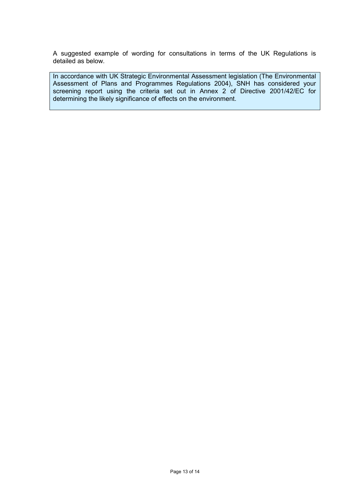A suggested example of wording for consultations in terms of the UK Regulations is detailed as below.

In accordance with UK Strategic Environmental Assessment legislation (The Environmental Assessment of Plans and Programmes Regulations 2004), SNH has considered your screening report using the criteria set out in Annex 2 of Directive 2001/42/EC for determining the likely significance of effects on the environment.